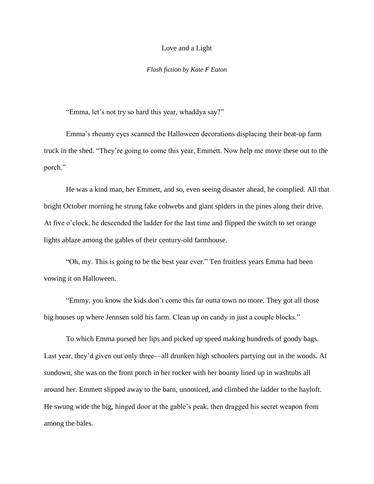## Love and a Light

## *Flash fiction by Kate F Eaton*

"Emma, let's not try so hard this year, whaddya say?"

Emma's rheumy eyes scanned the Halloween decorations displacing their beat-up farm truck in the shed. "They're going to come this year, Emmett. Now help me move these out to the porch."

He was a kind man, her Emmett, and so, even seeing disaster ahead, he complied. All that bright October morning he strung fake cobwebs and giant spiders in the pines along their drive. At five o'clock, he descended the ladder for the last time and flipped the switch to set orange lights ablaze among the gables of their century-old farmhouse.

"Oh, my. This is going to be the best year ever." Ten fruitless years Emma had been vowing it on Halloween.

"Emmy, you know the kids don't come this far outta town no more. They got all those big houses up where Jennsen sold his farm. Clean up on candy in just a couple blocks."

To which Emma pursed her lips and picked up speed making hundreds of goody bags. Last year, they'd given out only three—all drunken high schoolers partying out in the woods. At sundown, she was on the front porch in her rocker with her bounty lined up in washtubs all around her. Emmett slipped away to the barn, unnoticed, and climbed the ladder to the hayloft. He swung wide the big, hinged door at the gable's peak, then dragged his secret weapon from among the bales.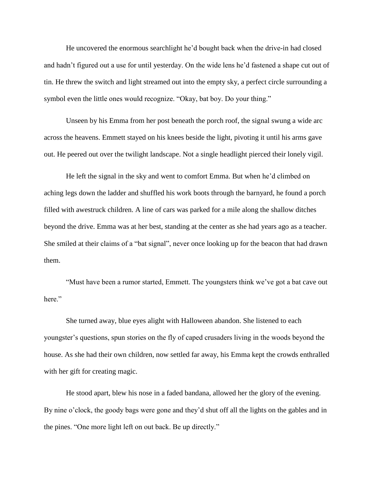He uncovered the enormous searchlight he'd bought back when the drive-in had closed and hadn't figured out a use for until yesterday. On the wide lens he'd fastened a shape cut out of tin. He threw the switch and light streamed out into the empty sky, a perfect circle surrounding a symbol even the little ones would recognize. "Okay, bat boy. Do your thing."

Unseen by his Emma from her post beneath the porch roof, the signal swung a wide arc across the heavens. Emmett stayed on his knees beside the light, pivoting it until his arms gave out. He peered out over the twilight landscape. Not a single headlight pierced their lonely vigil.

He left the signal in the sky and went to comfort Emma. But when he'd climbed on aching legs down the ladder and shuffled his work boots through the barnyard, he found a porch filled with awestruck children. A line of cars was parked for a mile along the shallow ditches beyond the drive. Emma was at her best, standing at the center as she had years ago as a teacher. She smiled at their claims of a "bat signal", never once looking up for the beacon that had drawn them.

"Must have been a rumor started, Emmett. The youngsters think we've got a bat cave out here."

She turned away, blue eyes alight with Halloween abandon. She listened to each youngster's questions, spun stories on the fly of caped crusaders living in the woods beyond the house. As she had their own children, now settled far away, his Emma kept the crowds enthralled with her gift for creating magic.

He stood apart, blew his nose in a faded bandana, allowed her the glory of the evening. By nine o'clock, the goody bags were gone and they'd shut off all the lights on the gables and in the pines. "One more light left on out back. Be up directly."